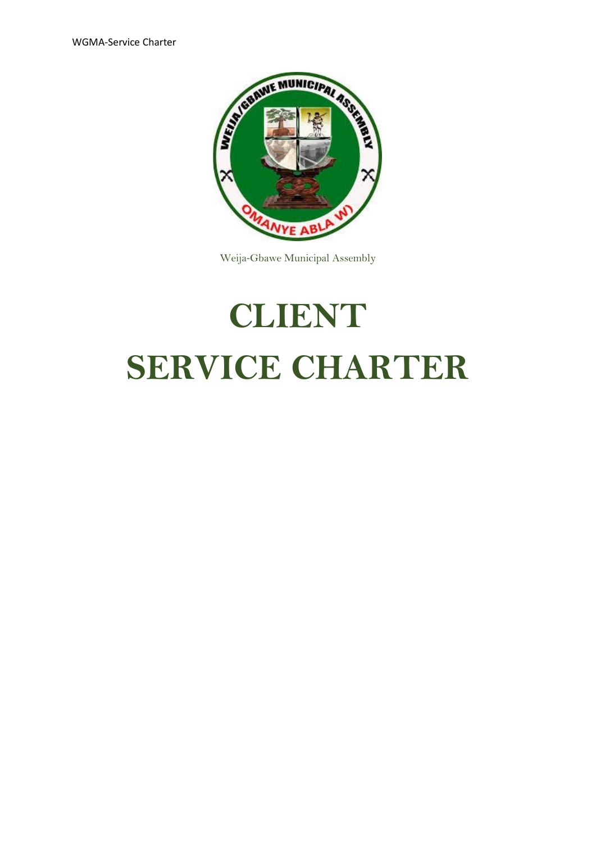

Weija-Gbawe Municipal Assembly

# **CLIENT SERVICE CHARTER**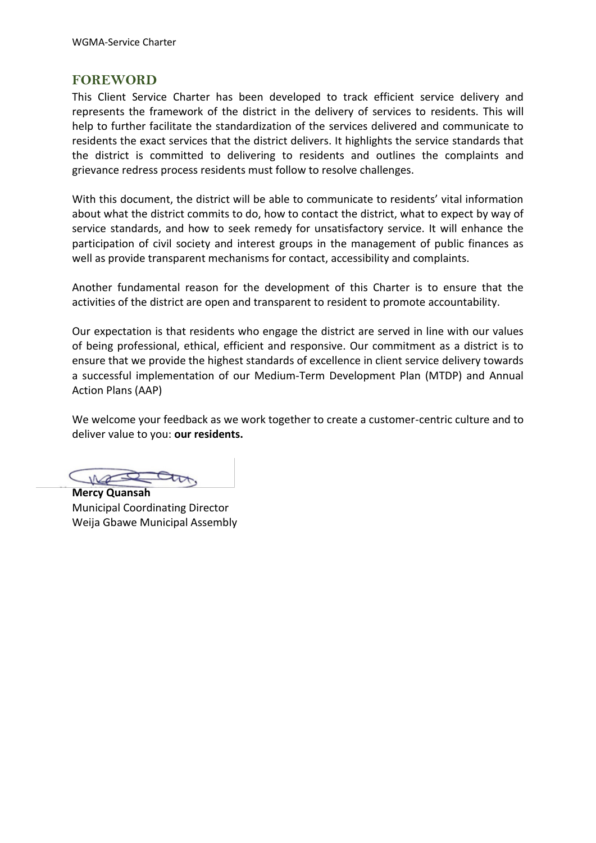#### **FOREWORD**

This Client Service Charter has been developed to track efficient service delivery and represents the framework of the district in the delivery of services to residents. This will help to further facilitate the standardization of the services delivered and communicate to residents the exact services that the district delivers. It highlights the service standards that the district is committed to delivering to residents and outlines the complaints and grievance redress process residents must follow to resolve challenges.

With this document, the district will be able to communicate to residents' vital information about what the district commits to do, how to contact the district, what to expect by way of service standards, and how to seek remedy for unsatisfactory service. It will enhance the participation of civil society and interest groups in the management of public finances as well as provide transparent mechanisms for contact, accessibility and complaints.

Another fundamental reason for the development of this Charter is to ensure that the activities of the district are open and transparent to resident to promote accountability.

Our expectation is that residents who engage the district are served in line with our values of being professional, ethical, efficient and responsive. Our commitment as a district is to ensure that we provide the highest standards of excellence in client service delivery towards a successful implementation of our Medium-Term Development Plan (MTDP) and Annual Action Plans (AAP)

We welcome your feedback as we work together to create a customer-centric culture and to deliver value to you: **our residents.**

**Mercy Quansah** Municipal Coordinating Director Weija Gbawe Municipal Assembly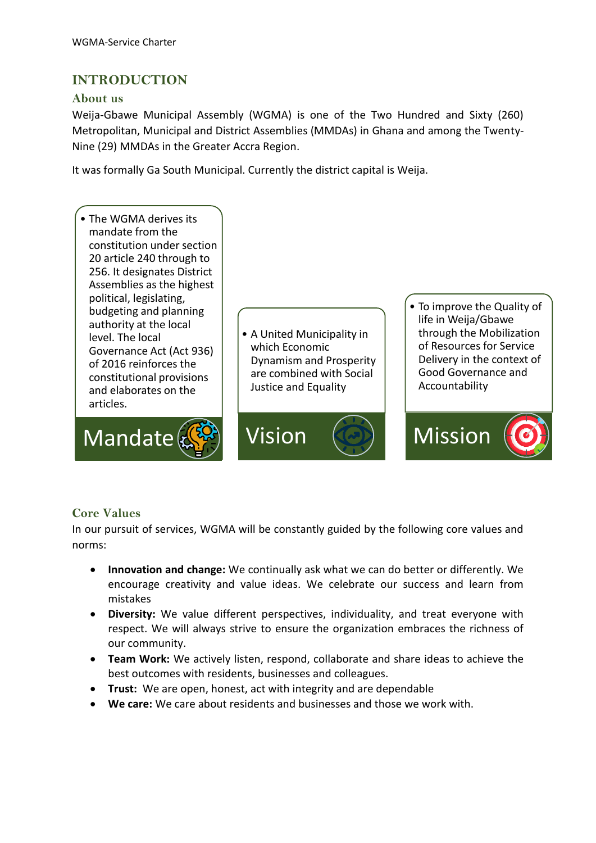## **INTRODUCTION**

#### **About us**

Weija-Gbawe Municipal Assembly (WGMA) is one of the Two Hundred and Sixty (260) Metropolitan, Municipal and District Assemblies (MMDAs) in Ghana and among the Twenty-Nine (29) MMDAs in the Greater Accra Region.

It was formally Ga South Municipal. Currently the district capital is Weija.



#### **Core Values**

In our pursuit of services, WGMA will be constantly guided by the following core values and norms:

- **Innovation and change:** We continually ask what we can do better or differently. We encourage creativity and value ideas. We celebrate our success and learn from mistakes
- **Diversity:** We value different perspectives, individuality, and treat everyone with respect. We will always strive to ensure the organization embraces the richness of our community.
- **Team Work:** We actively listen, respond, collaborate and share ideas to achieve the best outcomes with residents, businesses and colleagues.
- **Trust:** We are open, honest, act with integrity and are dependable
- **We care:** We care about residents and businesses and those we work with.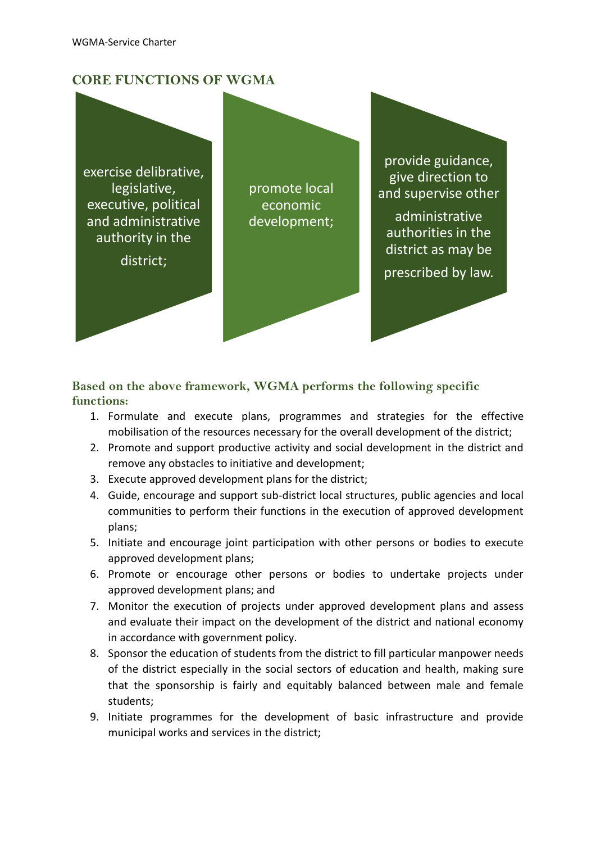## **CORE FUNCTIONS OF WGMA**

exercise delibrative, legislative, executive, political and administrative authority in the

district;

promote local economic development;

provide guidance, give direction to and supervise other

administrative authorities in the district as may be

prescribed by law.

#### **Based on the above framework, WGMA performs the following specific functions:**

- 1. Formulate and execute plans, programmes and strategies for the effective mobilisation of the resources necessary for the overall development of the district;
- 2. Promote and support productive activity and social development in the district and remove any obstacles to initiative and development;
- 3. Execute approved development plans for the district;
- 4. Guide, encourage and support sub-district local structures, public agencies and local communities to perform their functions in the execution of approved development plans;
- 5. Initiate and encourage joint participation with other persons or bodies to execute approved development plans;
- 6. Promote or encourage other persons or bodies to undertake projects under approved development plans; and
- 7. Monitor the execution of projects under approved development plans and assess and evaluate their impact on the development of the district and national economy in accordance with government policy.
- 8. Sponsor the education of students from the district to fill particular manpower needs of the district especially in the social sectors of education and health, making sure that the sponsorship is fairly and equitably balanced between male and female students;
- 9. Initiate programmes for the development of basic infrastructure and provide municipal works and services in the district;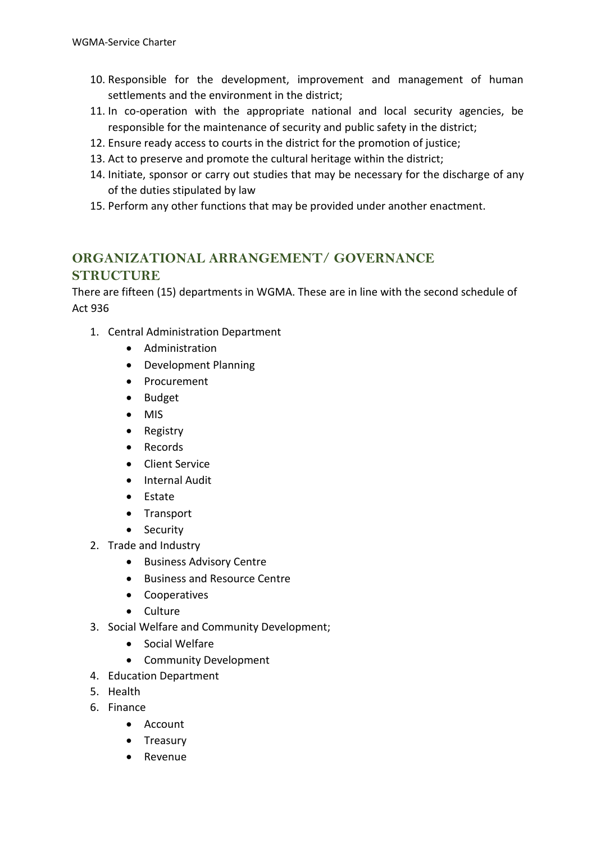- 10. Responsible for the development, improvement and management of human settlements and the environment in the district;
- 11. In co-operation with the appropriate national and local security agencies, be responsible for the maintenance of security and public safety in the district;
- 12. Ensure ready access to courts in the district for the promotion of justice;
- 13. Act to preserve and promote the cultural heritage within the district;
- 14. Initiate, sponsor or carry out studies that may be necessary for the discharge of any of the duties stipulated by law
- 15. Perform any other functions that may be provided under another enactment.

## **ORGANIZATIONAL ARRANGEMENT/ GOVERNANCE STRUCTURE**

There are fifteen (15) departments in WGMA. These are in line with the second schedule of Act 936

- 1. Central Administration Department
	- Administration
	- Development Planning
	- Procurement
	- Budget
	- MIS
	- Registry
	- Records
	- Client Service
	- Internal Audit
	- Estate
	- Transport
	- Security
- 2. Trade and Industry
	- Business Advisory Centre
	- Business and Resource Centre
	- Cooperatives
	- Culture
- 3. Social Welfare and Community Development;
	- Social Welfare
	- Community Development
- 4. Education Department
- 5. Health
- 6. Finance
	- Account
	- Treasury
	- Revenue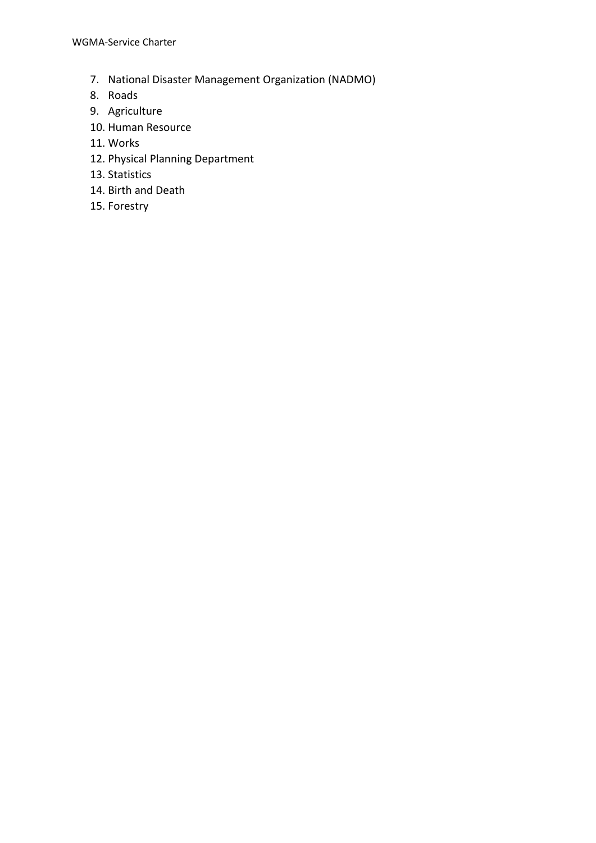WGMA-Service Charter

- 7. National Disaster Management Organization (NADMO)
- 8. Roads
- 9. Agriculture
- 10. Human Resource
- 11. Works
- 12. Physical Planning Department
- 13. Statistics
- 14. Birth and Death
- 15. Forestry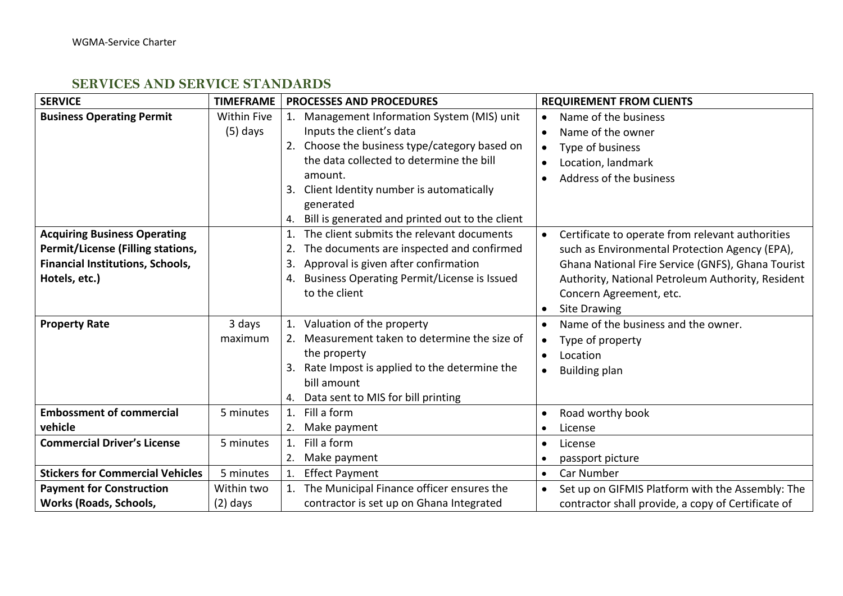# **SERVICES AND SERVICE STANDARDS**

| <b>SERVICE</b>                          | <b>TIMEFRAME</b>   | <b>PROCESSES AND PROCEDURES</b>                       | <b>REQUIREMENT FROM CLIENTS</b>                    |
|-----------------------------------------|--------------------|-------------------------------------------------------|----------------------------------------------------|
| <b>Business Operating Permit</b>        | <b>Within Five</b> | Management Information System (MIS) unit<br>1.        | Name of the business                               |
|                                         | $(5)$ days         | Inputs the client's data                              | Name of the owner                                  |
|                                         |                    | 2. Choose the business type/category based on         | Type of business                                   |
|                                         |                    | the data collected to determine the bill              | Location, landmark                                 |
|                                         |                    | amount.                                               | Address of the business                            |
|                                         |                    | Client Identity number is automatically<br>3.         |                                                    |
|                                         |                    | generated                                             |                                                    |
|                                         |                    | Bill is generated and printed out to the client<br>4. |                                                    |
| <b>Acquiring Business Operating</b>     |                    | The client submits the relevant documents<br>1.       | Certificate to operate from relevant authorities   |
| Permit/License (Filling stations,       |                    | The documents are inspected and confirmed             | such as Environmental Protection Agency (EPA),     |
| Financial Institutions, Schools,        |                    | Approval is given after confirmation<br>3.            | Ghana National Fire Service (GNFS), Ghana Tourist  |
| Hotels, etc.)                           |                    | Business Operating Permit/License is Issued<br>4.     | Authority, National Petroleum Authority, Resident  |
|                                         |                    | to the client                                         | Concern Agreement, etc.                            |
|                                         |                    |                                                       | <b>Site Drawing</b>                                |
| <b>Property Rate</b>                    | 3 days             | 1. Valuation of the property                          | Name of the business and the owner.                |
|                                         | maximum            | Measurement taken to determine the size of<br>2.      | Type of property                                   |
|                                         |                    | the property                                          | Location                                           |
|                                         |                    | Rate Impost is applied to the determine the           | <b>Building plan</b><br>$\bullet$                  |
|                                         |                    | bill amount                                           |                                                    |
|                                         |                    | Data sent to MIS for bill printing<br>4.              |                                                    |
| <b>Embossment of commercial</b>         | 5 minutes          | Fill a form<br>1.                                     | Road worthy book                                   |
| vehicle                                 |                    | Make payment<br>2.                                    | License                                            |
| <b>Commercial Driver's License</b>      | 5 minutes          | Fill a form<br>1.                                     | License<br>$\bullet$                               |
|                                         |                    | Make payment<br>2.                                    | passport picture                                   |
| <b>Stickers for Commercial Vehicles</b> | 5 minutes          | <b>Effect Payment</b><br>1.                           | Car Number<br>$\bullet$                            |
| <b>Payment for Construction</b>         | Within two         | 1. The Municipal Finance officer ensures the          | Set up on GIFMIS Platform with the Assembly: The   |
| <b>Works (Roads, Schools,</b>           | $(2)$ days         | contractor is set up on Ghana Integrated              | contractor shall provide, a copy of Certificate of |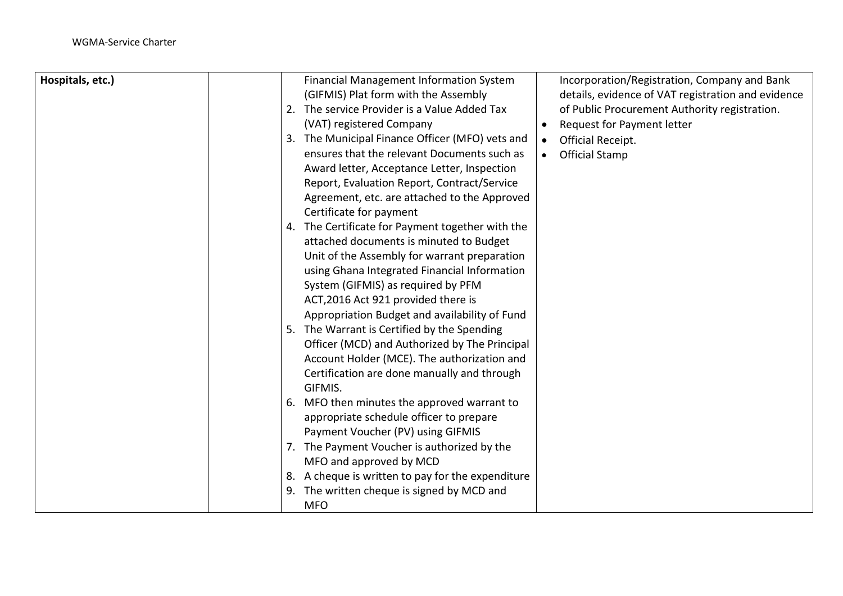| Hospitals, etc.) |    | Financial Management Information System          | Incorporation/Registration, Company and Bank       |
|------------------|----|--------------------------------------------------|----------------------------------------------------|
|                  |    | (GIFMIS) Plat form with the Assembly             | details, evidence of VAT registration and evidence |
|                  |    | 2. The service Provider is a Value Added Tax     | of Public Procurement Authority registration.      |
|                  |    | (VAT) registered Company                         | Request for Payment letter<br>$\bullet$            |
|                  | 3. | The Municipal Finance Officer (MFO) vets and     | Official Receipt.<br>$\bullet$                     |
|                  |    | ensures that the relevant Documents such as      | <b>Official Stamp</b>                              |
|                  |    | Award letter, Acceptance Letter, Inspection      |                                                    |
|                  |    | Report, Evaluation Report, Contract/Service      |                                                    |
|                  |    | Agreement, etc. are attached to the Approved     |                                                    |
|                  |    | Certificate for payment                          |                                                    |
|                  |    | 4. The Certificate for Payment together with the |                                                    |
|                  |    | attached documents is minuted to Budget          |                                                    |
|                  |    | Unit of the Assembly for warrant preparation     |                                                    |
|                  |    | using Ghana Integrated Financial Information     |                                                    |
|                  |    | System (GIFMIS) as required by PFM               |                                                    |
|                  |    | ACT, 2016 Act 921 provided there is              |                                                    |
|                  |    | Appropriation Budget and availability of Fund    |                                                    |
|                  |    | 5. The Warrant is Certified by the Spending      |                                                    |
|                  |    | Officer (MCD) and Authorized by The Principal    |                                                    |
|                  |    | Account Holder (MCE). The authorization and      |                                                    |
|                  |    | Certification are done manually and through      |                                                    |
|                  |    | GIFMIS.                                          |                                                    |
|                  |    | 6. MFO then minutes the approved warrant to      |                                                    |
|                  |    | appropriate schedule officer to prepare          |                                                    |
|                  |    | Payment Voucher (PV) using GIFMIS                |                                                    |
|                  |    | 7. The Payment Voucher is authorized by the      |                                                    |
|                  |    | MFO and approved by MCD                          |                                                    |
|                  | 8. | A cheque is written to pay for the expenditure   |                                                    |
|                  |    | 9. The written cheque is signed by MCD and       |                                                    |
|                  |    | <b>MFO</b>                                       |                                                    |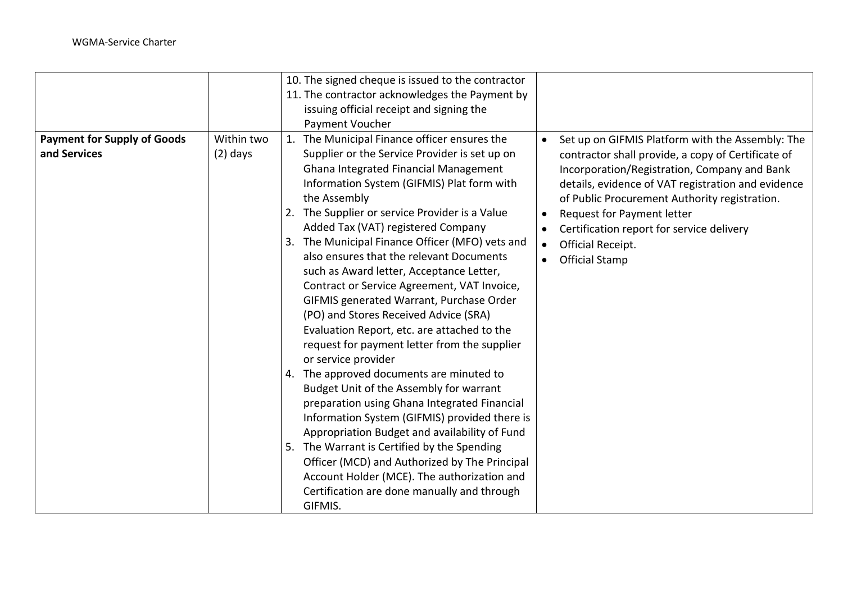|                                                    |                          | 10. The signed cheque is issued to the contractor<br>11. The contractor acknowledges the Payment by<br>issuing official receipt and signing the<br>Payment Voucher                                                                                                                                                                                                                                                                                                                                                                                                                                                                                                                                                                                                                                                                                                                                                                                                                                                                                                                                                                                                                                                                                                                                                                                                                                                                                                                                                                                               |
|----------------------------------------------------|--------------------------|------------------------------------------------------------------------------------------------------------------------------------------------------------------------------------------------------------------------------------------------------------------------------------------------------------------------------------------------------------------------------------------------------------------------------------------------------------------------------------------------------------------------------------------------------------------------------------------------------------------------------------------------------------------------------------------------------------------------------------------------------------------------------------------------------------------------------------------------------------------------------------------------------------------------------------------------------------------------------------------------------------------------------------------------------------------------------------------------------------------------------------------------------------------------------------------------------------------------------------------------------------------------------------------------------------------------------------------------------------------------------------------------------------------------------------------------------------------------------------------------------------------------------------------------------------------|
| <b>Payment for Supply of Goods</b><br>and Services | Within two<br>$(2)$ days | 1. The Municipal Finance officer ensures the<br>Set up on GIFMIS Platform with the Assembly: The<br>Supplier or the Service Provider is set up on<br>contractor shall provide, a copy of Certificate of<br>Ghana Integrated Financial Management<br>Incorporation/Registration, Company and Bank<br>Information System (GIFMIS) Plat form with<br>details, evidence of VAT registration and evidence<br>the Assembly<br>of Public Procurement Authority registration.<br>The Supplier or service Provider is a Value<br>2.<br>Request for Payment letter<br>Added Tax (VAT) registered Company<br>Certification report for service delivery<br>The Municipal Finance Officer (MFO) vets and<br>3.<br>Official Receipt.<br>$\bullet$<br>also ensures that the relevant Documents<br><b>Official Stamp</b><br>such as Award letter, Acceptance Letter,<br>Contract or Service Agreement, VAT Invoice,<br>GIFMIS generated Warrant, Purchase Order<br>(PO) and Stores Received Advice (SRA)<br>Evaluation Report, etc. are attached to the<br>request for payment letter from the supplier<br>or service provider<br>4. The approved documents are minuted to<br>Budget Unit of the Assembly for warrant<br>preparation using Ghana Integrated Financial<br>Information System (GIFMIS) provided there is<br>Appropriation Budget and availability of Fund<br>5. The Warrant is Certified by the Spending<br>Officer (MCD) and Authorized by The Principal<br>Account Holder (MCE). The authorization and<br>Certification are done manually and through<br>GIFMIS. |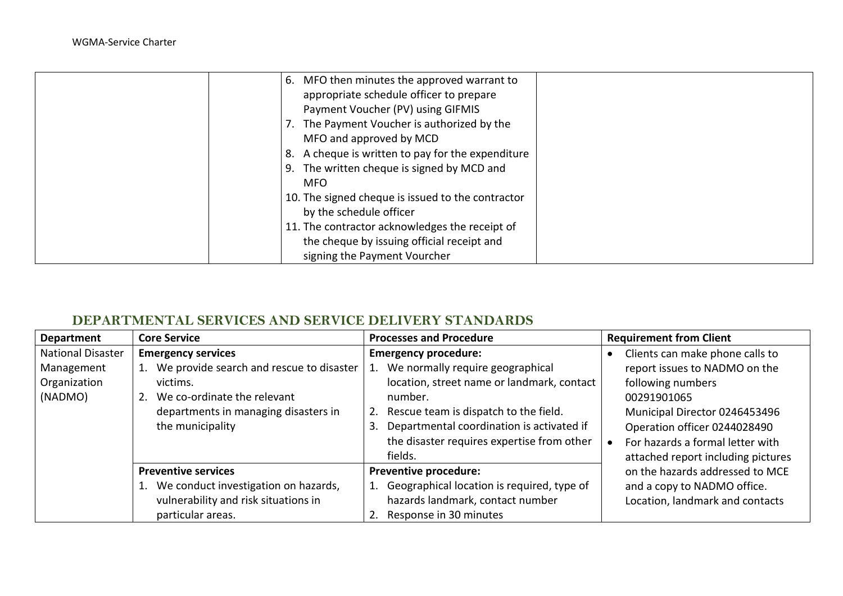| 6. MFO then minutes the approved warrant to          |
|------------------------------------------------------|
| appropriate schedule officer to prepare              |
| Payment Voucher (PV) using GIFMIS                    |
| 7. The Payment Voucher is authorized by the          |
| MFO and approved by MCD                              |
| A cheque is written to pay for the expenditure<br>8. |
| 9. The written cheque is signed by MCD and           |
| <b>MFO</b>                                           |
| 10. The signed cheque is issued to the contractor    |
| by the schedule officer                              |
| 11. The contractor acknowledges the receipt of       |
| the cheque by issuing official receipt and           |
| signing the Payment Vourcher                         |

## **DEPARTMENTAL SERVICES AND SERVICE DELIVERY STANDARDS**

| <b>Department</b>                                                 | <b>Core Service</b>                                                                                                                                                                      | <b>Processes and Procedure</b>                                                                                                                                                                                                                                                   | <b>Requirement from Client</b>                                                                                                                                                                                                                  |
|-------------------------------------------------------------------|------------------------------------------------------------------------------------------------------------------------------------------------------------------------------------------|----------------------------------------------------------------------------------------------------------------------------------------------------------------------------------------------------------------------------------------------------------------------------------|-------------------------------------------------------------------------------------------------------------------------------------------------------------------------------------------------------------------------------------------------|
| <b>National Disaster</b><br>Management<br>Organization<br>(NADMO) | <b>Emergency services</b><br>We provide search and rescue to disaster<br>1.<br>victims.<br>We co-ordinate the relevant<br>2.<br>departments in managing disasters in<br>the municipality | <b>Emergency procedure:</b><br>We normally require geographical<br>location, street name or landmark, contact<br>number.<br>2. Rescue team is dispatch to the field.<br>Departmental coordination is activated if<br>3.<br>the disaster requires expertise from other<br>fields. | Clients can make phone calls to<br>report issues to NADMO on the<br>following numbers<br>00291901065<br>Municipal Director 0246453496<br>Operation officer 0244028490<br>For hazards a formal letter with<br>attached report including pictures |
|                                                                   | <b>Preventive services</b><br>We conduct investigation on hazards,<br>vulnerability and risk situations in<br>particular areas.                                                          | <b>Preventive procedure:</b><br>1. Geographical location is required, type of<br>hazards landmark, contact number<br>Response in 30 minutes                                                                                                                                      | on the hazards addressed to MCE<br>and a copy to NADMO office.<br>Location, landmark and contacts                                                                                                                                               |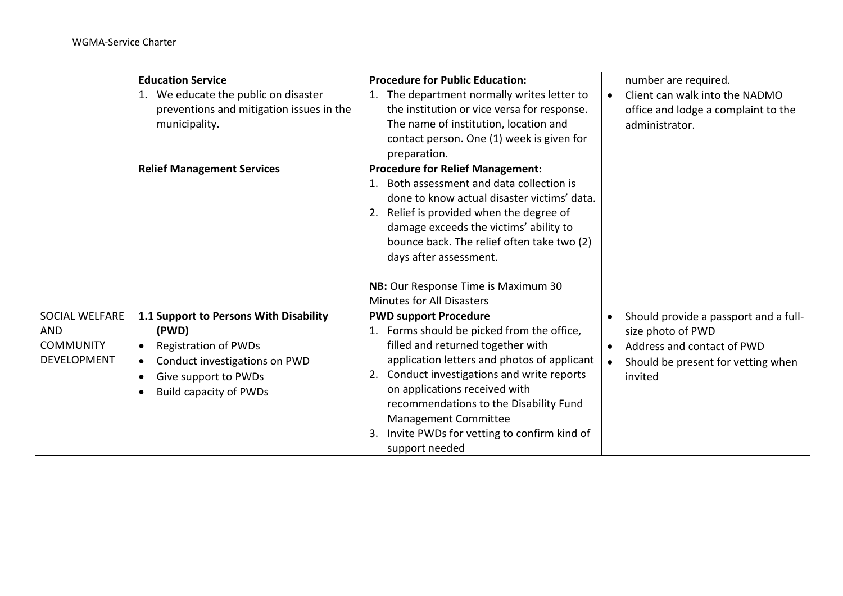|                                                                 | <b>Education Service</b>                                                                                                                                                                                                     | <b>Procedure for Public Education:</b>                                                                                                                                                                                                                                                                                                                                                    |                                     | number are required.                                                                                                                      |
|-----------------------------------------------------------------|------------------------------------------------------------------------------------------------------------------------------------------------------------------------------------------------------------------------------|-------------------------------------------------------------------------------------------------------------------------------------------------------------------------------------------------------------------------------------------------------------------------------------------------------------------------------------------------------------------------------------------|-------------------------------------|-------------------------------------------------------------------------------------------------------------------------------------------|
|                                                                 | 1. We educate the public on disaster<br>preventions and mitigation issues in the<br>municipality.                                                                                                                            | 1. The department normally writes letter to<br>the institution or vice versa for response.<br>The name of institution, location and<br>contact person. One (1) week is given for<br>preparation.                                                                                                                                                                                          | $\bullet$                           | Client can walk into the NADMO<br>office and lodge a complaint to the<br>administrator.                                                   |
|                                                                 | <b>Relief Management Services</b>                                                                                                                                                                                            | <b>Procedure for Relief Management:</b><br>Both assessment and data collection is<br>done to know actual disaster victims' data.<br>2. Relief is provided when the degree of<br>damage exceeds the victims' ability to<br>bounce back. The relief often take two (2)<br>days after assessment.                                                                                            |                                     |                                                                                                                                           |
|                                                                 |                                                                                                                                                                                                                              | NB: Our Response Time is Maximum 30<br><b>Minutes for All Disasters</b>                                                                                                                                                                                                                                                                                                                   |                                     |                                                                                                                                           |
| SOCIAL WELFARE<br><b>AND</b><br><b>COMMUNITY</b><br>DEVELOPMENT | 1.1 Support to Persons With Disability<br>(PWD)<br><b>Registration of PWDs</b><br>$\bullet$<br>Conduct investigations on PWD<br>$\bullet$<br>Give support to PWDs<br>$\bullet$<br><b>Build capacity of PWDs</b><br>$\bullet$ | <b>PWD support Procedure</b><br>1. Forms should be picked from the office,<br>filled and returned together with<br>application letters and photos of applicant<br>Conduct investigations and write reports<br>2.<br>on applications received with<br>recommendations to the Disability Fund<br>Management Committee<br>Invite PWDs for vetting to confirm kind of<br>3.<br>support needed | $\bullet$<br>$\bullet$<br>$\bullet$ | Should provide a passport and a full-<br>size photo of PWD<br>Address and contact of PWD<br>Should be present for vetting when<br>invited |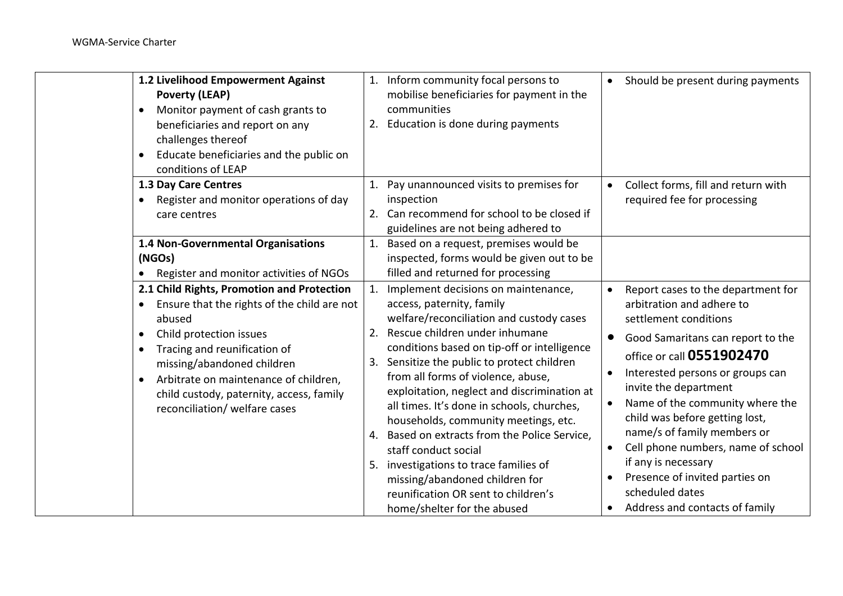| 1.2 Livelihood Empowerment Against                 | 1. Inform community focal persons to                                                                                                                                                                                                                         | Should be present during payments                                                                                                                                                                                              |
|----------------------------------------------------|--------------------------------------------------------------------------------------------------------------------------------------------------------------------------------------------------------------------------------------------------------------|--------------------------------------------------------------------------------------------------------------------------------------------------------------------------------------------------------------------------------|
| <b>Poverty (LEAP)</b>                              | mobilise beneficiaries for payment in the                                                                                                                                                                                                                    |                                                                                                                                                                                                                                |
| Monitor payment of cash grants to<br>$\bullet$     | communities                                                                                                                                                                                                                                                  |                                                                                                                                                                                                                                |
| beneficiaries and report on any                    | Education is done during payments<br>2.                                                                                                                                                                                                                      |                                                                                                                                                                                                                                |
| challenges thereof                                 |                                                                                                                                                                                                                                                              |                                                                                                                                                                                                                                |
| Educate beneficiaries and the public on            |                                                                                                                                                                                                                                                              |                                                                                                                                                                                                                                |
| conditions of LEAP                                 |                                                                                                                                                                                                                                                              |                                                                                                                                                                                                                                |
| 1.3 Day Care Centres                               | Pay unannounced visits to premises for<br>1.                                                                                                                                                                                                                 | Collect forms, fill and return with                                                                                                                                                                                            |
| Register and monitor operations of day             | inspection                                                                                                                                                                                                                                                   | required fee for processing                                                                                                                                                                                                    |
| care centres                                       | 2. Can recommend for school to be closed if                                                                                                                                                                                                                  |                                                                                                                                                                                                                                |
|                                                    | guidelines are not being adhered to                                                                                                                                                                                                                          |                                                                                                                                                                                                                                |
| 1.4 Non-Governmental Organisations                 | Based on a request, premises would be                                                                                                                                                                                                                        |                                                                                                                                                                                                                                |
| (NGOs)                                             | inspected, forms would be given out to be                                                                                                                                                                                                                    |                                                                                                                                                                                                                                |
| Register and monitor activities of NGOs            | filled and returned for processing                                                                                                                                                                                                                           |                                                                                                                                                                                                                                |
| 2.1 Child Rights, Promotion and Protection         | Implement decisions on maintenance,                                                                                                                                                                                                                          | Report cases to the department for                                                                                                                                                                                             |
| Ensure that the rights of the child are not        | access, paternity, family                                                                                                                                                                                                                                    | arbitration and adhere to                                                                                                                                                                                                      |
| abused                                             | welfare/reconciliation and custody cases                                                                                                                                                                                                                     | settlement conditions                                                                                                                                                                                                          |
| Child protection issues<br>$\bullet$               | Rescue children under inhumane<br>2.                                                                                                                                                                                                                         | Good Samaritans can report to the<br>$\bullet$                                                                                                                                                                                 |
| Tracing and reunification of<br>$\bullet$          | conditions based on tip-off or intelligence                                                                                                                                                                                                                  | office or call 0551902470                                                                                                                                                                                                      |
| missing/abandoned children                         | Sensitize the public to protect children<br>3.                                                                                                                                                                                                               | Interested persons or groups can                                                                                                                                                                                               |
| Arbitrate on maintenance of children,<br>$\bullet$ | from all forms of violence, abuse,                                                                                                                                                                                                                           | invite the department                                                                                                                                                                                                          |
| child custody, paternity, access, family           | exploitation, neglect and discrimination at                                                                                                                                                                                                                  | Name of the community where the                                                                                                                                                                                                |
| reconciliation/ welfare cases                      | all times. It's done in schools, churches,                                                                                                                                                                                                                   |                                                                                                                                                                                                                                |
|                                                    |                                                                                                                                                                                                                                                              |                                                                                                                                                                                                                                |
|                                                    |                                                                                                                                                                                                                                                              |                                                                                                                                                                                                                                |
|                                                    |                                                                                                                                                                                                                                                              |                                                                                                                                                                                                                                |
|                                                    |                                                                                                                                                                                                                                                              |                                                                                                                                                                                                                                |
|                                                    |                                                                                                                                                                                                                                                              |                                                                                                                                                                                                                                |
|                                                    |                                                                                                                                                                                                                                                              |                                                                                                                                                                                                                                |
|                                                    | households, community meetings, etc.<br>4. Based on extracts from the Police Service,<br>staff conduct social<br>investigations to trace families of<br>missing/abandoned children for<br>reunification OR sent to children's<br>home/shelter for the abused | child was before getting lost,<br>name/s of family members or<br>Cell phone numbers, name of school<br>$\bullet$<br>if any is necessary<br>Presence of invited parties on<br>scheduled dates<br>Address and contacts of family |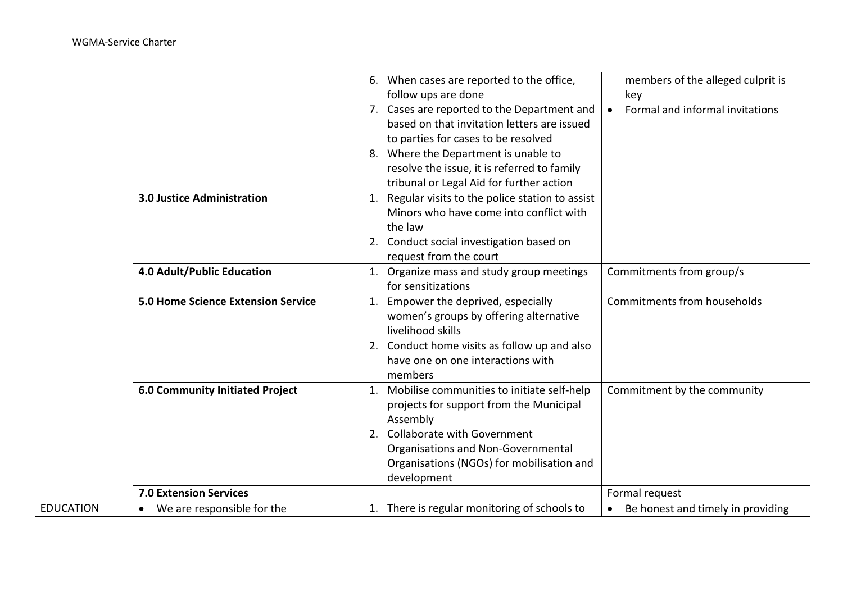WGMA-Service Charter

|                  |                                           | 6.       | When cases are reported to the office,<br>follow ups are done<br>7. Cases are reported to the Department and<br>based on that invitation letters are issued<br>to parties for cases to be resolved<br>8. Where the Department is unable to<br>resolve the issue, it is referred to family<br>tribunal or Legal Aid for further action | members of the alleged culprit is<br>key<br>Formal and informal invitations<br>$\bullet$ |
|------------------|-------------------------------------------|----------|---------------------------------------------------------------------------------------------------------------------------------------------------------------------------------------------------------------------------------------------------------------------------------------------------------------------------------------|------------------------------------------------------------------------------------------|
|                  | <b>3.0 Justice Administration</b>         | 1.<br>2. | Regular visits to the police station to assist<br>Minors who have come into conflict with<br>the law<br>Conduct social investigation based on<br>request from the court                                                                                                                                                               |                                                                                          |
|                  | 4.0 Adult/Public Education                |          | Organize mass and study group meetings<br>for sensitizations                                                                                                                                                                                                                                                                          | Commitments from group/s                                                                 |
|                  | <b>5.0 Home Science Extension Service</b> | 1.       | Empower the deprived, especially<br>women's groups by offering alternative<br>livelihood skills<br>2. Conduct home visits as follow up and also<br>have one on one interactions with<br>members                                                                                                                                       | Commitments from households                                                              |
|                  | <b>6.0 Community Initiated Project</b>    | 1.<br>2. | Mobilise communities to initiate self-help<br>projects for support from the Municipal<br>Assembly<br><b>Collaborate with Government</b><br>Organisations and Non-Governmental<br>Organisations (NGOs) for mobilisation and<br>development                                                                                             | Commitment by the community                                                              |
|                  | <b>7.0 Extension Services</b>             |          |                                                                                                                                                                                                                                                                                                                                       | Formal request                                                                           |
| <b>EDUCATION</b> | We are responsible for the                |          | 1. There is regular monitoring of schools to                                                                                                                                                                                                                                                                                          | Be honest and timely in providing                                                        |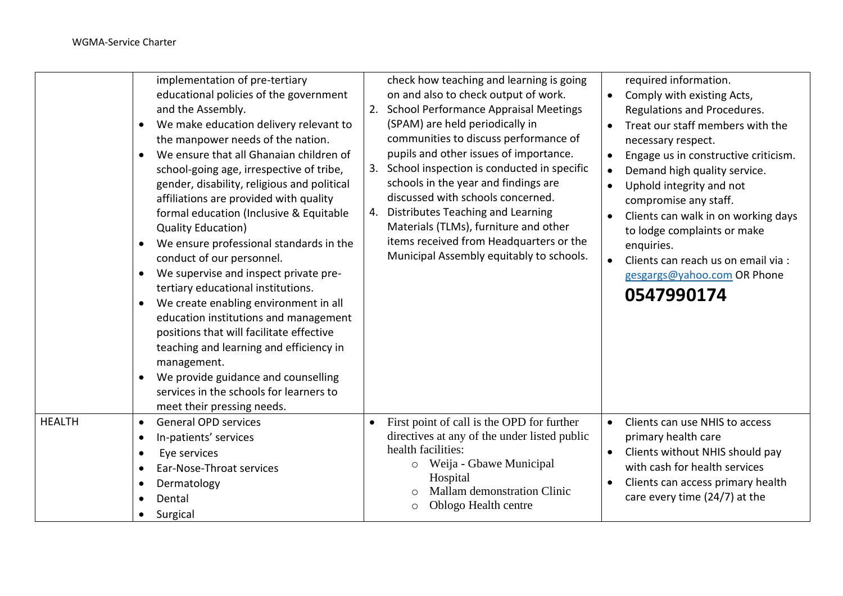|               | implementation of pre-tertiary<br>educational policies of the government<br>and the Assembly.<br>We make education delivery relevant to<br>$\bullet$<br>the manpower needs of the nation.<br>We ensure that all Ghanaian children of<br>$\bullet$<br>school-going age, irrespective of tribe,<br>gender, disability, religious and political<br>affiliations are provided with quality<br>formal education (Inclusive & Equitable<br><b>Quality Education)</b><br>We ensure professional standards in the<br>$\bullet$<br>conduct of our personnel.<br>We supervise and inspect private pre-<br>$\bullet$<br>tertiary educational institutions.<br>We create enabling environment in all<br>$\bullet$<br>education institutions and management<br>positions that will facilitate effective<br>teaching and learning and efficiency in<br>management.<br>We provide guidance and counselling<br>services in the schools for learners to<br>meet their pressing needs. | 2.<br>3.<br>4. | check how teaching and learning is going<br>on and also to check output of work.<br><b>School Performance Appraisal Meetings</b><br>(SPAM) are held periodically in<br>communities to discuss performance of<br>pupils and other issues of importance.<br>School inspection is conducted in specific<br>schools in the year and findings are<br>discussed with schools concerned.<br>Distributes Teaching and Learning<br>Materials (TLMs), furniture and other<br>items received from Headquarters or the<br>Municipal Assembly equitably to schools. | $\bullet$ | required information.<br>Comply with existing Acts,<br>Regulations and Procedures.<br>Treat our staff members with the<br>necessary respect.<br>Engage us in constructive criticism.<br>Demand high quality service.<br>Uphold integrity and not<br>compromise any staff.<br>Clients can walk in on working days<br>to lodge complaints or make<br>enquiries.<br>Clients can reach us on email via :<br>gesgargs@yahoo.com OR Phone<br>0547990174 |
|---------------|----------------------------------------------------------------------------------------------------------------------------------------------------------------------------------------------------------------------------------------------------------------------------------------------------------------------------------------------------------------------------------------------------------------------------------------------------------------------------------------------------------------------------------------------------------------------------------------------------------------------------------------------------------------------------------------------------------------------------------------------------------------------------------------------------------------------------------------------------------------------------------------------------------------------------------------------------------------------|----------------|--------------------------------------------------------------------------------------------------------------------------------------------------------------------------------------------------------------------------------------------------------------------------------------------------------------------------------------------------------------------------------------------------------------------------------------------------------------------------------------------------------------------------------------------------------|-----------|---------------------------------------------------------------------------------------------------------------------------------------------------------------------------------------------------------------------------------------------------------------------------------------------------------------------------------------------------------------------------------------------------------------------------------------------------|
| <b>HEALTH</b> | <b>General OPD services</b><br>$\bullet$<br>In-patients' services<br>$\bullet$<br>Eye services<br>$\bullet$<br>Ear-Nose-Throat services<br>$\bullet$<br>Dermatology<br>$\bullet$<br>Dental<br>$\bullet$<br>Surgical<br>$\bullet$                                                                                                                                                                                                                                                                                                                                                                                                                                                                                                                                                                                                                                                                                                                                     | $\bullet$      | First point of call is the OPD for further<br>directives at any of the under listed public<br>health facilities:<br>Weija - Gbawe Municipal<br>$\circ$<br>Hospital<br>Mallam demonstration Clinic<br>Oblogo Health centre<br>$\circ$                                                                                                                                                                                                                                                                                                                   | $\bullet$ | Clients can use NHIS to access<br>primary health care<br>Clients without NHIS should pay<br>with cash for health services<br>Clients can access primary health<br>care every time (24/7) at the                                                                                                                                                                                                                                                   |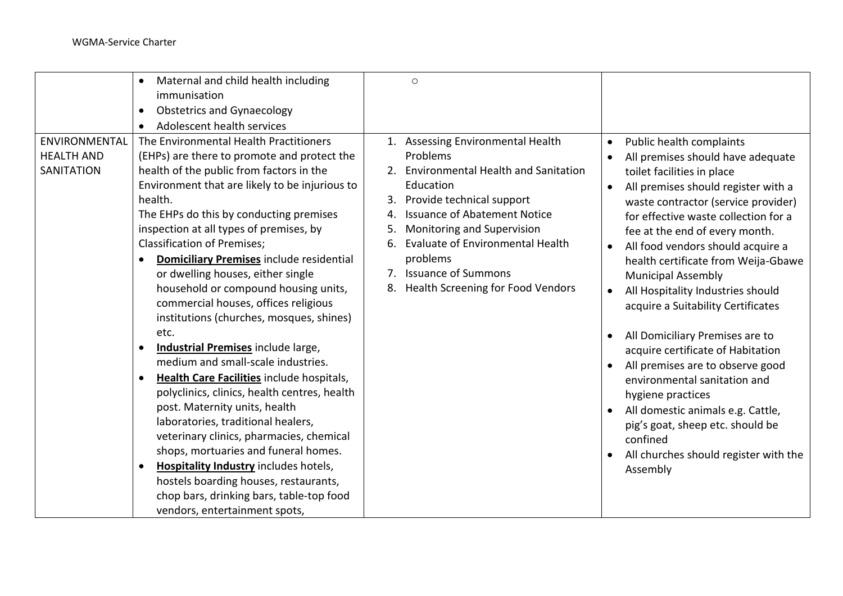|                                                  | Maternal and child health including<br>$\bullet$                                                                                                                                                                                                                                                                                                                                                                                                                                                                                                                                                                                                                                                          | $\circ$                                                                                                                                                                                                                                                                                                                                                 |                                                                                                                                                                                                                                                                                                                                                                                                                                                                                                                                                                                                                                                      |
|--------------------------------------------------|-----------------------------------------------------------------------------------------------------------------------------------------------------------------------------------------------------------------------------------------------------------------------------------------------------------------------------------------------------------------------------------------------------------------------------------------------------------------------------------------------------------------------------------------------------------------------------------------------------------------------------------------------------------------------------------------------------------|---------------------------------------------------------------------------------------------------------------------------------------------------------------------------------------------------------------------------------------------------------------------------------------------------------------------------------------------------------|------------------------------------------------------------------------------------------------------------------------------------------------------------------------------------------------------------------------------------------------------------------------------------------------------------------------------------------------------------------------------------------------------------------------------------------------------------------------------------------------------------------------------------------------------------------------------------------------------------------------------------------------------|
|                                                  | immunisation                                                                                                                                                                                                                                                                                                                                                                                                                                                                                                                                                                                                                                                                                              |                                                                                                                                                                                                                                                                                                                                                         |                                                                                                                                                                                                                                                                                                                                                                                                                                                                                                                                                                                                                                                      |
|                                                  | <b>Obstetrics and Gynaecology</b><br>$\bullet$                                                                                                                                                                                                                                                                                                                                                                                                                                                                                                                                                                                                                                                            |                                                                                                                                                                                                                                                                                                                                                         |                                                                                                                                                                                                                                                                                                                                                                                                                                                                                                                                                                                                                                                      |
|                                                  | Adolescent health services                                                                                                                                                                                                                                                                                                                                                                                                                                                                                                                                                                                                                                                                                |                                                                                                                                                                                                                                                                                                                                                         |                                                                                                                                                                                                                                                                                                                                                                                                                                                                                                                                                                                                                                                      |
| ENVIRONMENTAL<br><b>HEALTH AND</b><br>SANITATION | The Environmental Health Practitioners<br>(EHPs) are there to promote and protect the<br>health of the public from factors in the<br>Environment that are likely to be injurious to<br>health.<br>The EHPs do this by conducting premises<br>inspection at all types of premises, by<br><b>Classification of Premises;</b><br><b>Domiciliary Premises include residential</b><br>$\bullet$<br>or dwelling houses, either single<br>household or compound housing units,<br>commercial houses, offices religious<br>institutions (churches, mosques, shines)<br>etc.<br>Industrial Premises include large,<br>medium and small-scale industries.<br>Health Care Facilities include hospitals,<br>$\bullet$ | 1. Assessing Environmental Health<br>Problems<br>2. Environmental Health and Sanitation<br>Education<br>Provide technical support<br>3.<br><b>Issuance of Abatement Notice</b><br>4.<br>Monitoring and Supervision<br>5.<br><b>Evaluate of Environmental Health</b><br>6.<br>problems<br>7. Issuance of Summons<br>8. Health Screening for Food Vendors | Public health complaints<br>$\bullet$<br>All premises should have adequate<br>$\bullet$<br>toilet facilities in place<br>All premises should register with a<br>$\bullet$<br>waste contractor (service provider)<br>for effective waste collection for a<br>fee at the end of every month.<br>All food vendors should acquire a<br>$\bullet$<br>health certificate from Weija-Gbawe<br><b>Municipal Assembly</b><br>All Hospitality Industries should<br>acquire a Suitability Certificates<br>All Domiciliary Premises are to<br>$\bullet$<br>acquire certificate of Habitation<br>All premises are to observe good<br>environmental sanitation and |
|                                                  | polyclinics, clinics, health centres, health<br>post. Maternity units, health<br>laboratories, traditional healers,<br>veterinary clinics, pharmacies, chemical<br>shops, mortuaries and funeral homes.<br><b>Hospitality Industry includes hotels,</b><br>hostels boarding houses, restaurants,<br>chop bars, drinking bars, table-top food<br>vendors, entertainment spots,                                                                                                                                                                                                                                                                                                                             |                                                                                                                                                                                                                                                                                                                                                         | hygiene practices<br>All domestic animals e.g. Cattle,<br>pig's goat, sheep etc. should be<br>confined<br>All churches should register with the<br>Assembly                                                                                                                                                                                                                                                                                                                                                                                                                                                                                          |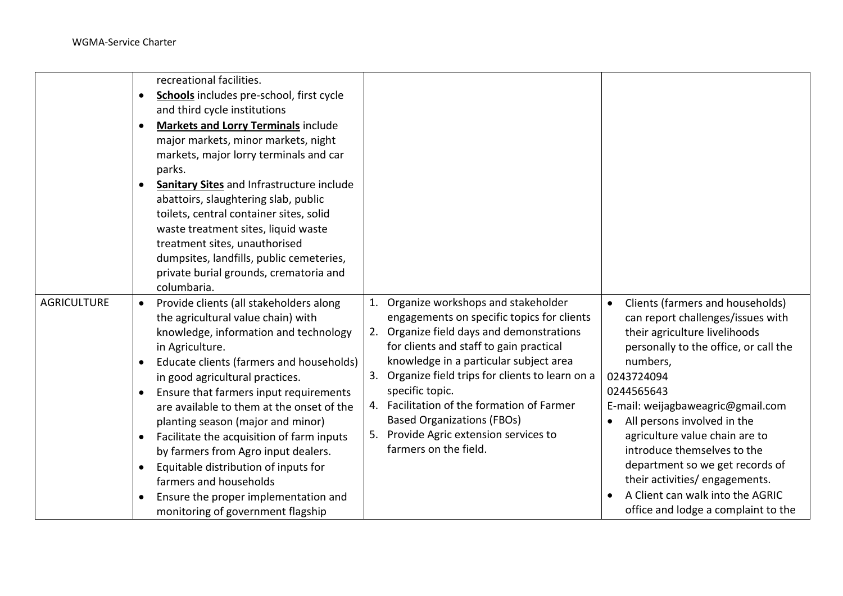|                    |           | recreational facilities.                         |    |                                                |           |                                       |
|--------------------|-----------|--------------------------------------------------|----|------------------------------------------------|-----------|---------------------------------------|
|                    |           | Schools includes pre-school, first cycle         |    |                                                |           |                                       |
|                    |           | and third cycle institutions                     |    |                                                |           |                                       |
|                    | $\bullet$ | <b>Markets and Lorry Terminals include</b>       |    |                                                |           |                                       |
|                    |           | major markets, minor markets, night              |    |                                                |           |                                       |
|                    |           | markets, major lorry terminals and car           |    |                                                |           |                                       |
|                    |           | parks.                                           |    |                                                |           |                                       |
|                    |           | <b>Sanitary Sites and Infrastructure include</b> |    |                                                |           |                                       |
|                    |           | abattoirs, slaughtering slab, public             |    |                                                |           |                                       |
|                    |           | toilets, central container sites, solid          |    |                                                |           |                                       |
|                    |           | waste treatment sites, liquid waste              |    |                                                |           |                                       |
|                    |           | treatment sites, unauthorised                    |    |                                                |           |                                       |
|                    |           | dumpsites, landfills, public cemeteries,         |    |                                                |           |                                       |
|                    |           | private burial grounds, crematoria and           |    |                                                |           |                                       |
|                    |           | columbaria.                                      |    |                                                |           |                                       |
| <b>AGRICULTURE</b> | $\bullet$ | Provide clients (all stakeholders along          | 1. | Organize workshops and stakeholder             |           | Clients (farmers and households)      |
|                    |           | the agricultural value chain) with               |    | engagements on specific topics for clients     |           | can report challenges/issues with     |
|                    |           | knowledge, information and technology            | 2. | Organize field days and demonstrations         |           | their agriculture livelihoods         |
|                    |           | in Agriculture.                                  |    | for clients and staff to gain practical        |           | personally to the office, or call the |
|                    | $\bullet$ | Educate clients (farmers and households)         |    | knowledge in a particular subject area         |           | numbers,                              |
|                    |           | in good agricultural practices.                  | 3. | Organize field trips for clients to learn on a |           | 0243724094                            |
|                    | $\bullet$ | Ensure that farmers input requirements           |    | specific topic.                                |           | 0244565643                            |
|                    |           | are available to them at the onset of the        |    | 4. Facilitation of the formation of Farmer     |           | E-mail: weijagbaweagric@gmail.com     |
|                    |           | planting season (major and minor)                |    | <b>Based Organizations (FBOs)</b>              | $\bullet$ | All persons involved in the           |
|                    |           | Facilitate the acquisition of farm inputs        | 5. | Provide Agric extension services to            |           | agriculture value chain are to        |
|                    |           | by farmers from Agro input dealers.              |    | farmers on the field.                          |           | introduce themselves to the           |
|                    |           | Equitable distribution of inputs for             |    |                                                |           | department so we get records of       |
|                    |           | farmers and households                           |    |                                                |           | their activities/engagements.         |
|                    |           | Ensure the proper implementation and             |    |                                                | $\bullet$ | A Client can walk into the AGRIC      |
|                    |           | monitoring of government flagship                |    |                                                |           | office and lodge a complaint to the   |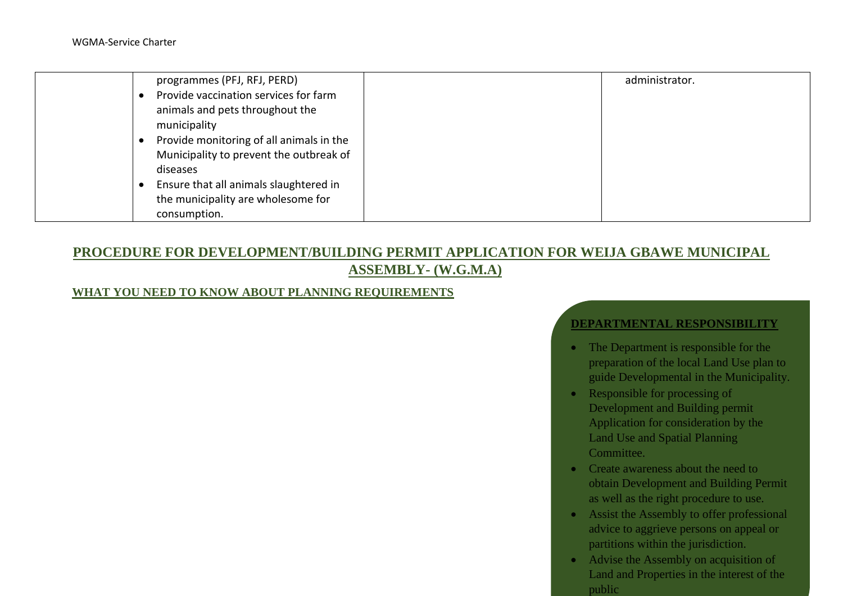| programmes (PFJ, RFJ, PERD)              | administrator. |
|------------------------------------------|----------------|
| Provide vaccination services for farm    |                |
| animals and pets throughout the          |                |
| municipality                             |                |
| Provide monitoring of all animals in the |                |
| Municipality to prevent the outbreak of  |                |
| diseases                                 |                |
| Ensure that all animals slaughtered in   |                |
| the municipality are wholesome for       |                |
| consumption.                             |                |

# **PROCEDURE FOR DEVELOPMENT/BUILDING PERMIT APPLICATION FOR WEIJA GBAWE MUNICIPAL ASSEMBLY- (W.G.M.A)**

## **WHAT YOU NEED TO KNOW ABOUT PLANNING REQUIREMENTS**

#### **DEPARTMENTAL RESPONSIBILITY**

- The Department is responsible for the preparation of the local Land Use plan to guide Developmental in the Municipality.
- Responsible for processing of Development and Building permit Application for consideration by the Land Use and Spatial Planning Committee.
- Create awareness about the need to obtain Development and Building Permit as well as the right procedure to use.
- Assist the Assembly to offer professional advice to aggrieve persons on appeal or partitions within the jurisdiction.
- Advise the Assembly on acquisition of Land and Properties in the interest of the public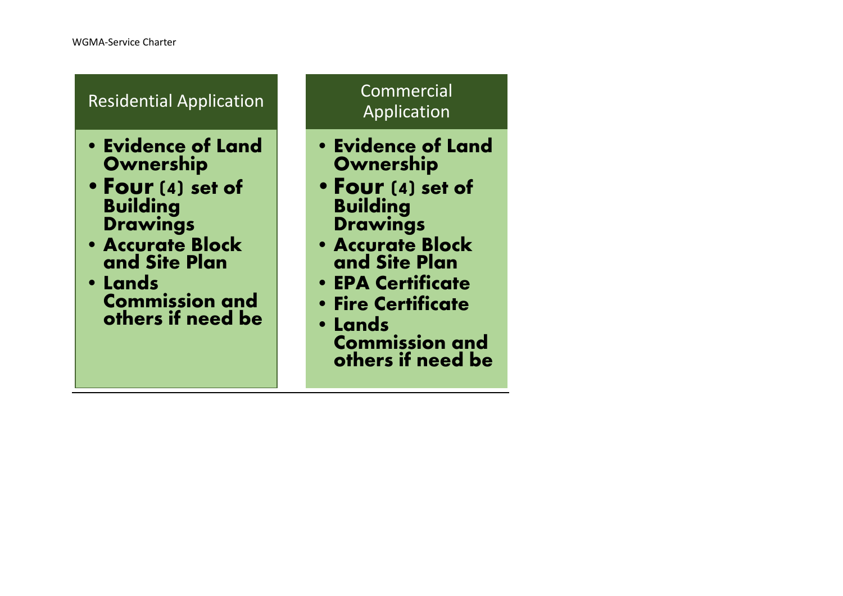| <b>Residential Application</b>                                                                                                                                                                         | Commercial<br>Application                                                                                                                                                                                                                                |
|--------------------------------------------------------------------------------------------------------------------------------------------------------------------------------------------------------|----------------------------------------------------------------------------------------------------------------------------------------------------------------------------------------------------------------------------------------------------------|
| <b>• Evidence of Land</b><br>Ownership<br>• Four (4) set of<br><b>Building</b><br><b>Drawings</b><br><b>· Accurate Block</b><br>and Site Plan<br>• Lands<br><b>Commission and</b><br>others if need be | <b>• Evidence of Land</b><br>Ownership<br>• Four (4) set of<br><b>Building</b><br><b>Drawings</b><br>· Accurate Block<br>and Site Plan<br><b>• EPA Certificate</b><br><b>• Fire Certificate</b><br>• Lands<br><b>Commission and</b><br>others if need be |

and the state of the state of the state of the state of the state of the state of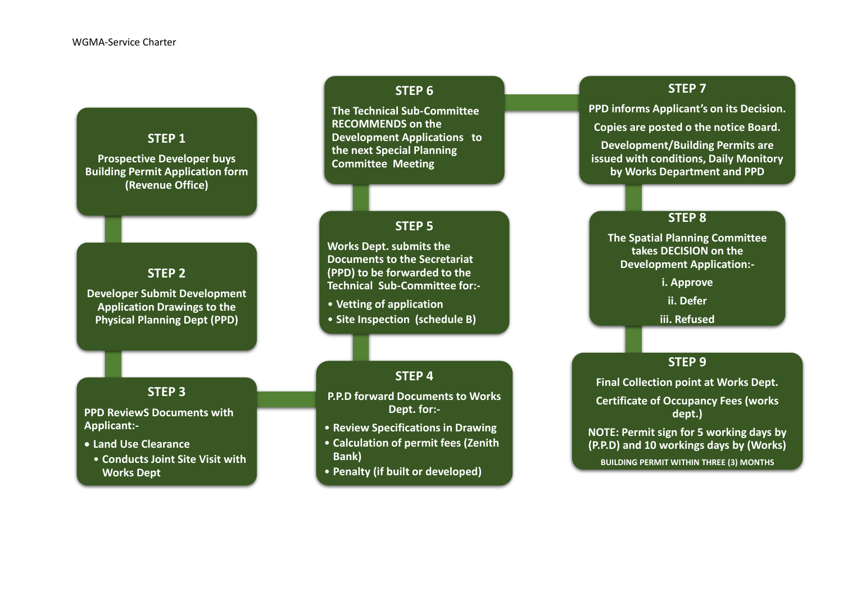## **STEP 1**

**Prospective Developer buys Building Permit Application form (Revenue Office)**

## **STEP 2**

**Developer Submit Development Application Drawings to the Physical Planning Dept (PPD)**

## **STEP 6**

**The Technical Sub-Committee RECOMMENDS on the Development Applications to the next Special Planning Committee Meeting**

#### **STEP 5**

**Works Dept. submits the Documents to the Secretariat (PPD) to be forwarded to the Technical Sub-Committee for:-**

• **Vetting of application**

• **Site Inspection (schedule B)** 

## **STEP 4**

**P.P.D forward Documents to Works Dept. for:-**

- **Review Specifications in Drawing**
- **Calculation of permit fees (Zenith Bank)**
- **Penalty (if built or developed)**

## **STEP 7**

**PPD informs Applicant's on its Decision. Copies are posted o the notice Board.**

**Development/Building Permits are issued with conditions, Daily Monitory by Works Department and PPD**

#### **STEP 8**

**The Spatial Planning Committee takes DECISION on the Development Application:-**

**i. Approve**

**ii. Defer**

**iii. Refused**

#### **STEP 9**

**Final Collection point at Works Dept. Certificate of Occupancy Fees (works dept.)**

**NOTE: Permit sign for 5 working days by (P.P.D) and 10 workings days by (Works) BUILDING PERMIT WITHIN THREE (3) MONTHS**

#### **STEP 3**

**PPD ReviewS Documents with Applicant:-**

- **Land Use Clearance**
- **Conducts Joint Site Visit with Works Dept**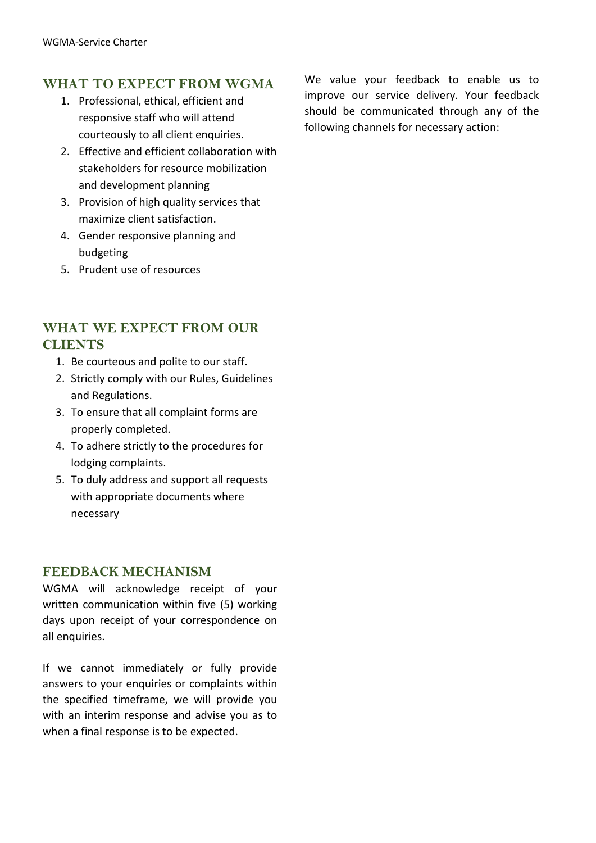# **WHAT TO EXPECT FROM WGMA**

- 1. Professional, ethical, efficient and responsive staff who will attend courteously to all client enquiries.
- 2. Effective and efficient collaboration with stakeholders for resource mobilization and development planning
- 3. Provision of high quality services that maximize client satisfaction.
- 4. Gender responsive planning and budgeting
- 5. Prudent use of resources

## **WHAT WE EXPECT FROM OUR CLIENTS**

- 1. Be courteous and polite to our staff.
- 2. Strictly comply with our Rules, Guidelines and Regulations.
- 3. To ensure that all complaint forms are properly completed.
- 4. To adhere strictly to the procedures for lodging complaints.
- 5. To duly address and support all requests with appropriate documents where necessary

## **FEEDBACK MECHANISM**

WGMA will acknowledge receipt of your written communication within five (5) working days upon receipt of your correspondence on all enquiries.

If we cannot immediately or fully provide answers to your enquiries or complaints within the specified timeframe, we will provide you with an interim response and advise you as to when a final response is to be expected.

We value your feedback to enable us to improve our service delivery. Your feedback should be communicated through any of the following channels for necessary action: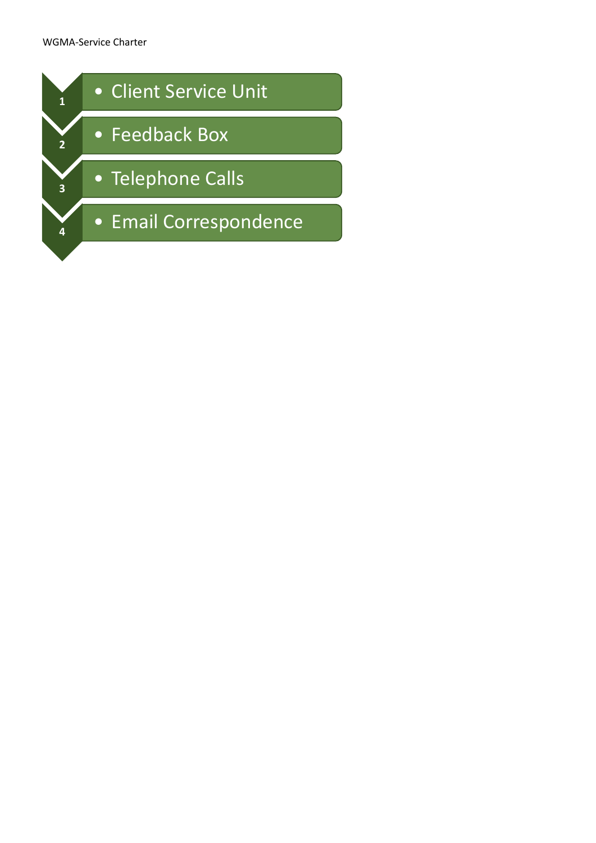#### WGMA-Service Charter